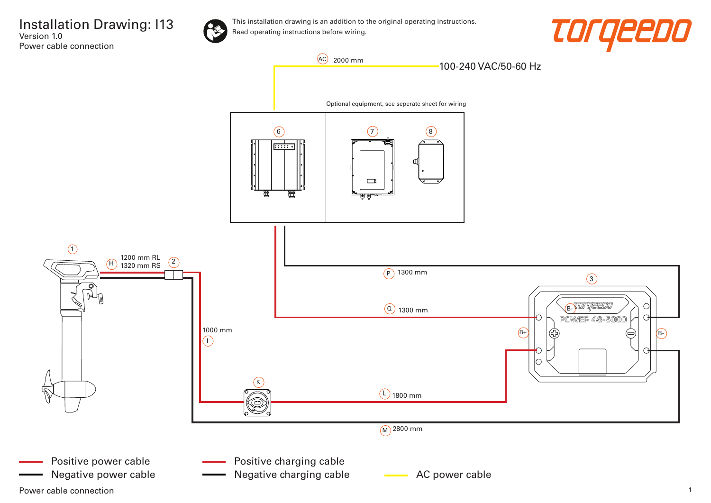Installation Drawing: I13 Version 1.0 Power cable connection



This installation drawing is an addition to the original operating instructions. Read operating instructions before wiring.





Power cable connection 2008 and 2008 and 2008 and 2008 and 2008 and 2008 and 2008 and 2008 and 2008 and 2008 and 2008 and 2008 and 2008 and 2008 and 2008 and 2008 and 2008 and 2008 and 2008 and 2008 and 2008 and 2008 and 2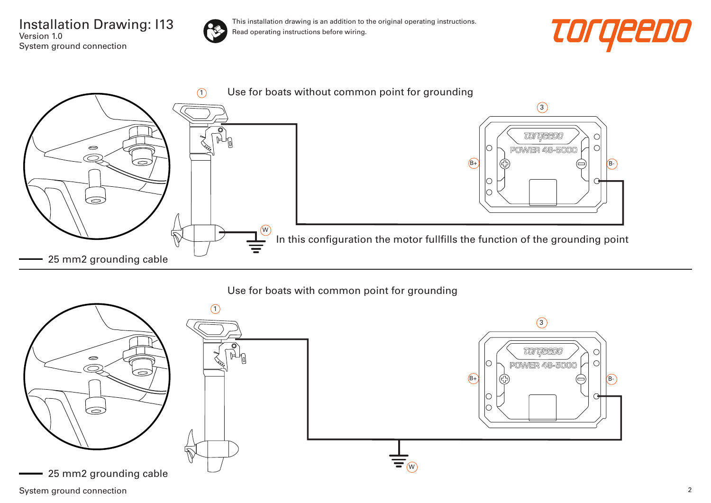Installation Drawing: I13 Version 1.0 System ground connection



This installation drawing is an addition to the original operating instructions. Read operating instructions before wiring.





## Use for boats with common point for grounding



System ground connection 2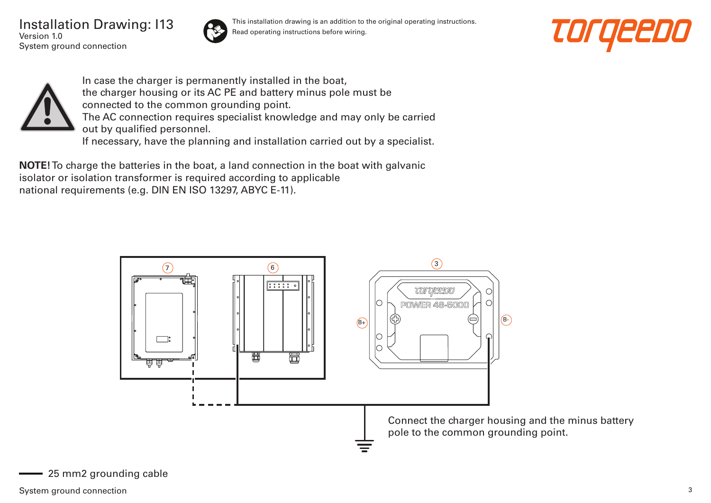Installation Drawing: I13 Version 1.0 System ground connection



This installation drawing is an addition to the original operating instructions. Read operating instructions before wiring.





In case the charger is permanently installed in the boat, the charger housing or its AC PE and battery minus pole must be connected to the common grounding point. The AC connection requires specialist knowledge and may only be carried out by qualified personnel. If necessary, have the planning and installation carried out by a specialist.

**NOTE!** To charge the batteries in the boat, a land connection in the boat with galvanic isolator or isolation transformer is required according to applicable national requirements (e.g. DIN EN ISO 13297, ABYC E-11).

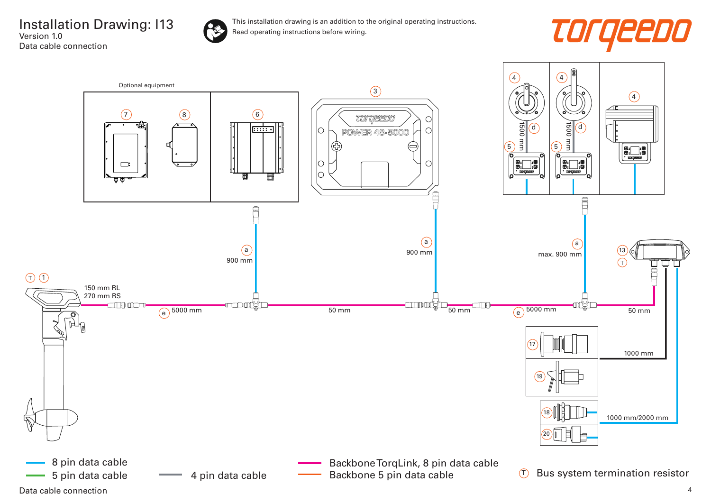Installation Drawing: I13 Version 1.0 Data cable connection



This installation drawing is an addition to the original operating instructions. Read operating instructions before wiring.



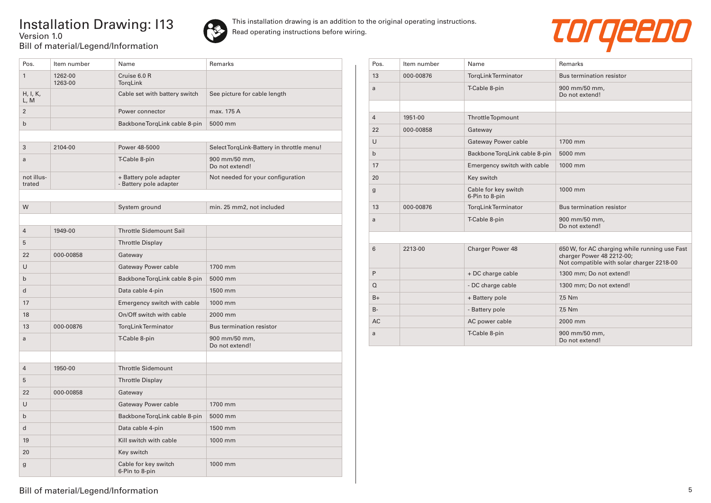## Installation Drawing: I13 Version 1.0 Bill of material/Legend/Information



This installation drawing is an addition to the original operating instructions. Read operating instructions before wiring.



| Pos.                 | Item number        | Name                                             | <b>Remarks</b>                            |
|----------------------|--------------------|--------------------------------------------------|-------------------------------------------|
| $\mathbf{1}$         | 1262-00<br>1263-00 | Cruise 6.0 R<br>TorqLink                         |                                           |
| H, I, K,<br>L, M     |                    | Cable set with battery switch                    | See picture for cable length              |
| $\overline{2}$       |                    | Power connector                                  | max. 175 A                                |
| $\mathsf{b}$         |                    | Backbone TorqLink cable 8-pin                    | 5000 mm                                   |
|                      |                    |                                                  |                                           |
| 3                    | 2104-00            | Power 48-5000                                    | Select TorqLink-Battery in throttle menu! |
| a                    |                    | T-Cable 8-pin                                    | 900 mm/50 mm,<br>Do not extend!           |
| not illus-<br>trated |                    | + Battery pole adapter<br>- Battery pole adapter | Not needed for your configuration         |
|                      |                    |                                                  |                                           |
| W                    |                    | System ground                                    | min. 25 mm2, not included                 |
|                      |                    |                                                  |                                           |
| $\overline{4}$       | 1949-00            | <b>Throttle Sidemount Sail</b>                   |                                           |
| 5                    |                    | <b>Throttle Display</b>                          |                                           |
| 22                   | 000-00858          | Gateway                                          |                                           |
| U                    |                    | Gateway Power cable                              | 1700 mm                                   |
| $\mathsf{b}$         |                    | Backbone TorqLink cable 8-pin                    | 5000 mm                                   |
| d                    |                    | Data cable 4-pin                                 | 1500 mm                                   |
| 17                   |                    | Emergency switch with cable                      | 1000 mm                                   |
| 18                   |                    | On/Off switch with cable                         | 2000 mm                                   |
| 13                   | 000-00876          | TorgLinkTerminator                               | Bus termination resistor                  |
| a                    |                    | T-Cable 8-pin                                    | 900 mm/50 mm,<br>Do not extend!           |
|                      |                    |                                                  |                                           |
| $\overline{4}$       | 1950-00            | <b>Throttle Sidemount</b>                        |                                           |
| 5                    |                    | <b>Throttle Display</b>                          |                                           |
| 22                   | 000-00858          | Gateway                                          |                                           |
| U                    |                    | Gateway Power cable                              | 1700 mm                                   |
| $\mathsf{b}$         |                    | Backbone TorqLink cable 8-pin                    | 5000 mm                                   |
| d                    |                    | Data cable 4-pin                                 | 1500 mm                                   |
| 19                   |                    | Kill switch with cable                           | 1000 mm                                   |
| 20                   |                    | Key switch                                       |                                           |
| g                    |                    | Cable for key switch<br>6-Pin to 8-pin           | 1000 mm                                   |

| Pos.           | Item number | Name                                   | Remarks                                                                                                                 |
|----------------|-------------|----------------------------------------|-------------------------------------------------------------------------------------------------------------------------|
| 13             | 000-00876   | <b>TorgLinkTerminator</b>              | Bus termination resistor                                                                                                |
| a              |             | T-Cable 8-pin                          | 900 mm/50 mm,<br>Do not extend!                                                                                         |
|                |             |                                        |                                                                                                                         |
| $\overline{4}$ | 1951-00     | Throttle Topmount                      |                                                                                                                         |
| 22             | 000-00858   | Gateway                                |                                                                                                                         |
| $\cup$         |             | Gateway Power cable                    | 1700 mm                                                                                                                 |
| $\mathbf b$    |             | Backbone TorqLink cable 8-pin          | 5000 mm                                                                                                                 |
| 17             |             | Emergency switch with cable            | 1000 mm                                                                                                                 |
| 20             |             | Key switch                             |                                                                                                                         |
| $\mathbf{g}$   |             | Cable for key switch<br>6-Pin to 8-pin | 1000 mm                                                                                                                 |
| 13             | 000-00876   | <b>TorgLinkTerminator</b>              | Bus termination resistor                                                                                                |
| a              |             | T-Cable 8-pin                          | 900 mm/50 mm,<br>Do not extend!                                                                                         |
|                |             |                                        |                                                                                                                         |
| 6              | 2213-00     | Charger Power 48                       | 650 W, for AC charging while running use Fast<br>charger Power 48 2212-00;<br>Not compatible with solar charger 2218-00 |
| P              |             | + DC charge cable                      | 1300 mm; Do not extend!                                                                                                 |
| $\Omega$       |             | - DC charge cable                      | 1300 mm; Do not extend!                                                                                                 |
| $B+$           |             | + Battery pole                         | 7,5 Nm                                                                                                                  |
| $B -$          |             | - Battery pole                         | 7,5 Nm                                                                                                                  |
| <b>AC</b>      |             | AC power cable                         | 2000 mm                                                                                                                 |
| a              |             | T-Cable 8-pin                          | 900 mm/50 mm,<br>Do not extend!                                                                                         |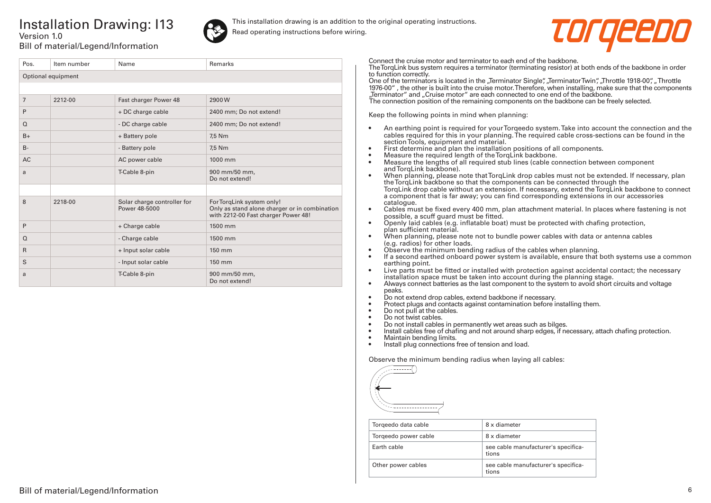## Installation Drawing: I13 Version 1.0



This installation drawing is an addition to the original operating instructions. Read operating instructions before wiring.



Bill of material/Legend/Information

| Pos.               | Item number | Name                                         | Remarks                                                                                                           |  |  |
|--------------------|-------------|----------------------------------------------|-------------------------------------------------------------------------------------------------------------------|--|--|
| Optional equipment |             |                                              |                                                                                                                   |  |  |
|                    |             |                                              |                                                                                                                   |  |  |
| $\overline{7}$     | 2212-00     | Fast charger Power 48                        | 2900W                                                                                                             |  |  |
| P                  |             | + DC charge cable                            | 2400 mm; Do not extend!                                                                                           |  |  |
| $\Omega$           |             | - DC charge cable                            | 2400 mm; Do not extend!                                                                                           |  |  |
| $B+$               |             | + Battery pole                               | 7,5 Nm                                                                                                            |  |  |
| $B -$              |             | - Battery pole                               | 7,5 Nm                                                                                                            |  |  |
| <b>AC</b>          |             | AC power cable                               | 1000 mm                                                                                                           |  |  |
| a                  |             | T-Cable 8-pin                                | 900 mm/50 mm,<br>Do not extend!                                                                                   |  |  |
|                    |             |                                              |                                                                                                                   |  |  |
| 8                  | 2218-00     | Solar charge controller for<br>Power 48-5000 | For TorqLink system only!<br>Only as stand alone charger or in combination<br>with 2212-00 Fast charger Power 48! |  |  |
| P                  |             | + Charge cable                               | 1500 mm                                                                                                           |  |  |
| $\Omega$           |             | - Charge cable                               | 1500 mm                                                                                                           |  |  |
| $\mathsf{R}$       |             | + Input solar cable                          | 150 mm                                                                                                            |  |  |
| S                  |             | - Input solar cable                          | 150 mm                                                                                                            |  |  |
| a                  |             | T-Cable 8-pin                                | 900 mm/50 mm,<br>Do not extend!                                                                                   |  |  |

Connect the cruise motor and terminator to each end of the backbone.

The TorqLink bus system requires a terminator (terminating resistor) at both ends of the backbone in order to function correctly.

One of the terminators is located in the "Terminator Single", "Terminator Twin", "Throttle 1918-00", "Throttle 1976-00" , the other is built into the cruise motor. Therefore, when installing, make sure that the components "Terminator" and "Cruise motor" are each connected to one end of the backbone.

The connection position of the remaining components on the backbone can be freely selected.

Keep the following points in mind when planning:

- An earthing point is required for your Torqeedo system. Take into account the connection and the cables required for this in your planning. The required cable cross-sections can be found in the section Tools, equipment and material.
- First determine and plan the installation positions of all components.
- Measure the required length of the TorqLink backbone.<br>• Measure the lengths of all required stub lines (cable co
- Measure the lengths of all required stub lines (cable connection between component and TorqLink backbone).
- When planning, please note that TorqLink drop cables must not be extended. If necessary, plan the TorqLink backbone so that the components can be connected through the TorqLink drop cable without an extension. If necessary, extend the TorqLink backbone to connect a component that is far away; you can find corresponding extensions in our accessories catalogue.
- Cables must be fixed every 400 mm, plan attachment material. In places where fastening is not possible, a scuff guard must be fitted.
- Openly laid cables (e.g. inflatable boat) must be protected with chafing protection, plan sufficient material.
- When planning, please note not to bundle power cables with data or antenna cables (e.g. radios) for other loads.
- Observe the minimum bending radius of the cables when planning.
- If a second earthed onboard power system is available, ensure that both systems use a common earthing point.
- Live parts must be fitted or installed with protection against accidental contact; the necessary installation space must be taken into account during the planning stage.
- Always connect batteries as the last component to the system to avoid short circuits and voltage peaks.
- Do not extend drop cables, extend backbone if necessary.
- Protect plugs and contacts against contamination before installing them.
- Do not pull at the cables.
- Do not twist cables.
- Do not install cables in permanently wet areas such as bilges.
- Install cables free of chafing and not around sharp edges, if necessary, attach chafing protection.<br>• Maintain bending limits
- Maintain bending limits.
- Install plug connections free of tension and load.

Observe the minimum bending radius when laying all cables:



| Torgeedo data cable  | 8 x diameter                                 |
|----------------------|----------------------------------------------|
| Torgeedo power cable | 8 x diameter                                 |
| Farth cable          | see cable manufacturer's specifica-<br>tions |
| Other power cables   | see cable manufacturer's specifica-<br>tions |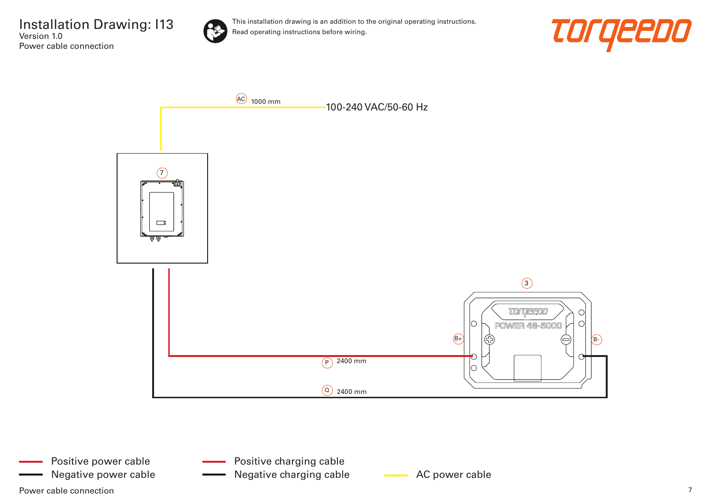Installation Drawing: I13 Version 1.0 Power cable connection



This installation drawing is an addition to the original operating instructions. Read operating instructions before wiring.





Power cable connection  $\overline{7}$